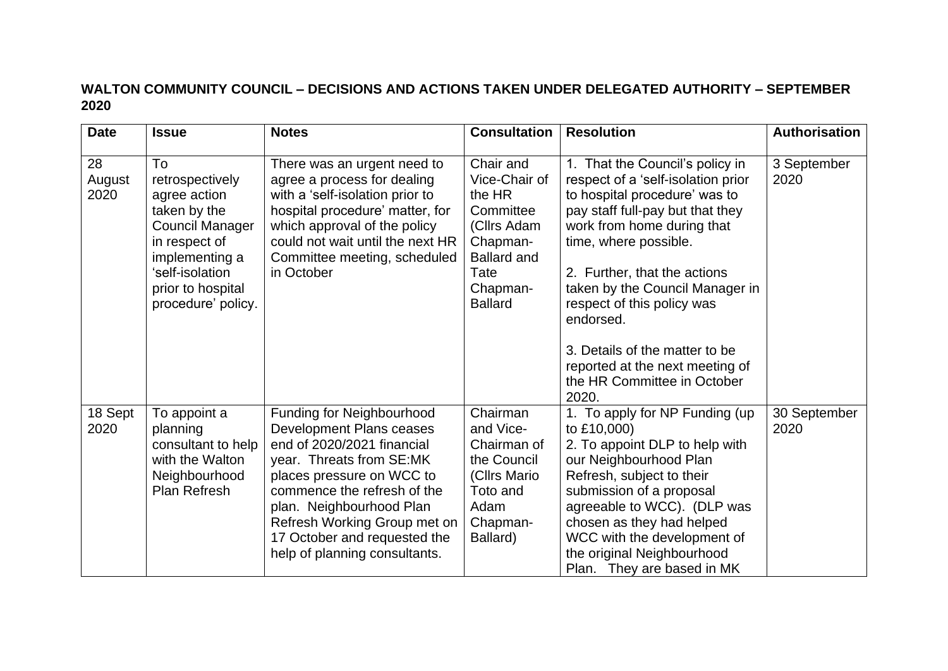## **WALTON COMMUNITY COUNCIL – DECISIONS AND ACTIONS TAKEN UNDER DELEGATED AUTHORITY – SEPTEMBER 2020**

| <b>Date</b>          | <b>Issue</b>                                                                                                                                                                     | <b>Notes</b>                                                                                                                                                                                                                                                                                                    | <b>Consultation</b>                                                                                                                      | <b>Resolution</b>                                                                                                                                                                                                                                                                                                                                                                                                            | <b>Authorisation</b> |
|----------------------|----------------------------------------------------------------------------------------------------------------------------------------------------------------------------------|-----------------------------------------------------------------------------------------------------------------------------------------------------------------------------------------------------------------------------------------------------------------------------------------------------------------|------------------------------------------------------------------------------------------------------------------------------------------|------------------------------------------------------------------------------------------------------------------------------------------------------------------------------------------------------------------------------------------------------------------------------------------------------------------------------------------------------------------------------------------------------------------------------|----------------------|
| 28<br>August<br>2020 | To<br>retrospectively<br>agree action<br>taken by the<br><b>Council Manager</b><br>in respect of<br>implementing a<br>'self-isolation<br>prior to hospital<br>procedure' policy. | There was an urgent need to<br>agree a process for dealing<br>with a 'self-isolation prior to<br>hospital procedure' matter, for<br>which approval of the policy<br>could not wait until the next HR<br>Committee meeting, scheduled<br>in October                                                              | Chair and<br>Vice-Chair of<br>the HR<br>Committee<br>(Cllrs Adam<br>Chapman-<br><b>Ballard and</b><br>Tate<br>Chapman-<br><b>Ballard</b> | 1. That the Council's policy in<br>respect of a 'self-isolation prior<br>to hospital procedure' was to<br>pay staff full-pay but that they<br>work from home during that<br>time, where possible.<br>2. Further, that the actions<br>taken by the Council Manager in<br>respect of this policy was<br>endorsed.<br>3. Details of the matter to be<br>reported at the next meeting of<br>the HR Committee in October<br>2020. | 3 September<br>2020  |
| 18 Sept<br>2020      | To appoint a<br>planning<br>consultant to help<br>with the Walton<br>Neighbourhood<br>Plan Refresh                                                                               | <b>Funding for Neighbourhood</b><br>Development Plans ceases<br>end of 2020/2021 financial<br>year. Threats from SE:MK<br>places pressure on WCC to<br>commence the refresh of the<br>plan. Neighbourhood Plan<br>Refresh Working Group met on<br>17 October and requested the<br>help of planning consultants. | Chairman<br>and Vice-<br>Chairman of<br>the Council<br>(Cllrs Mario<br>Toto and<br>Adam<br>Chapman-<br>Ballard)                          | 1. To apply for NP Funding (up)<br>to £10,000)<br>2. To appoint DLP to help with<br>our Neighbourhood Plan<br>Refresh, subject to their<br>submission of a proposal<br>agreeable to WCC). (DLP was<br>chosen as they had helped<br>WCC with the development of<br>the original Neighbourhood<br>Plan. They are based in MK                                                                                                   | 30 September<br>2020 |